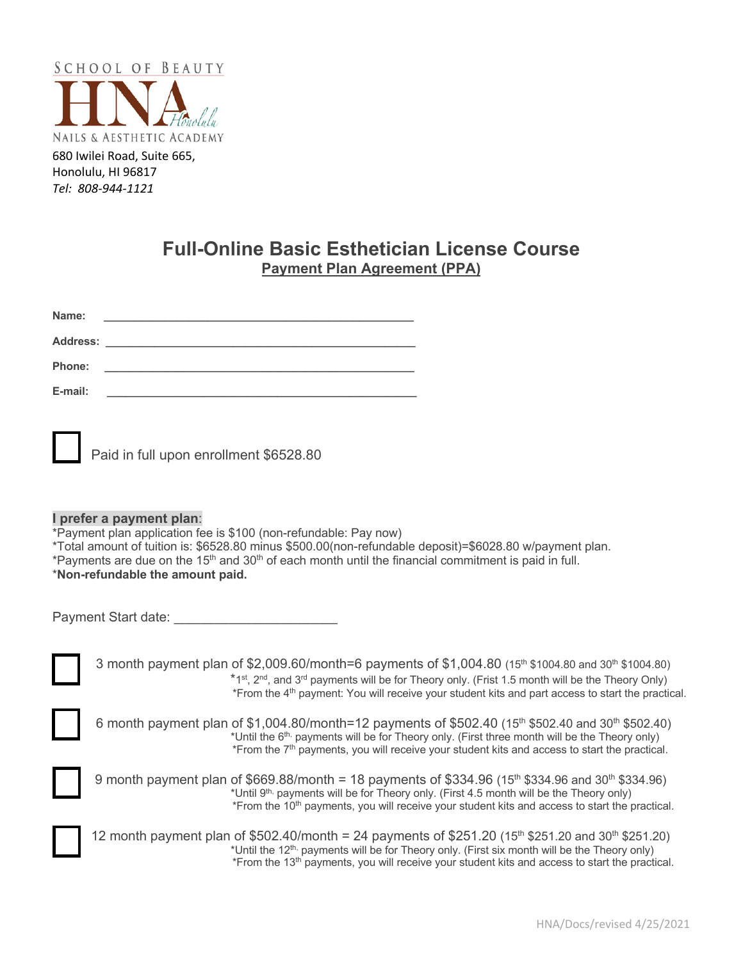

680 Iwilei Road, Suite 665, Honolulu, HI 96817 *Tel: 808-944-1121*

# **Full-Online Basic Esthetician License Course Payment Plan Agreement (PPA)**

| Name:           |                                                                                                                           |  |
|-----------------|---------------------------------------------------------------------------------------------------------------------------|--|
| <b>Address:</b> |                                                                                                                           |  |
| <b>Phone:</b>   | <u> 1980 - Jan Barbara Santan Barat, masa sa kacamatan ing Kabupaten Ing Kabupaten Ing Kabupaten Ing Kabupaten Ing Ka</u> |  |
| E-mail:         |                                                                                                                           |  |

| Paid in full upon enrollment \$6528.80 |
|----------------------------------------|
|                                        |

## **I prefer a payment plan**:

\*Payment plan application fee is \$100 (non-refundable: Pay now)

- \*Total amount of tuition is: \$6528.80 minus \$500.00(non-refundable deposit)=\$6028.80 w/payment plan.
- \*Payments are due on the  $15<sup>th</sup>$  and  $30<sup>th</sup>$  of each month until the financial commitment is paid in full.

## \***Non-refundable the amount paid.**

| Payment Start date: |  |
|---------------------|--|
|                     |  |

3 month payment plan of \$2,009.60/month=6 payments of \$1,004.80 (15<sup>th</sup> \$1004.80 and 30<sup>th</sup> \$1004.80)  $*1^{st}$ ,  $2^{nd}$ , and  $3^{rd}$  payments will be for Theory only. (Frist 1.5 month will be the Theory Only) \*From the 4th payment: You will receive your student kits and part access to start the practical.

| 6 month payment plan of \$1,004.80/month=12 payments of \$502.40 (15 <sup>th</sup> \$502.40 and 30 <sup>th</sup> \$502.40) |
|----------------------------------------------------------------------------------------------------------------------------|
| *Until the 6 <sup>th,</sup> payments will be for Theory only. (First three month will be the Theory only)                  |
| *From the 7 <sup>th</sup> payments, you will receive your student kits and access to start the practical.                  |



9 month payment plan of  $$669.88/month = 18$  payments of  $$334.96$  ( $15<sup>th</sup>$  \$334.96 and  $30<sup>th</sup>$  \$334.96) \*Until 9<sup>th,</sup> payments will be for Theory only. (First 4.5 month will be the Theory only) \*From the 10<sup>th</sup> payments, you will receive your student kits and access to start the practical.



12 month payment plan of \$502.40/month = 24 payments of \$251.20 (15<sup>th</sup> \$251.20 and 30<sup>th</sup> \$251.20) \*Until the 12<sup>th,</sup> payments will be for Theory only. (First six month will be the Theory only) \*From the 13<sup>th</sup> payments, you will receive your student kits and access to start the practical.